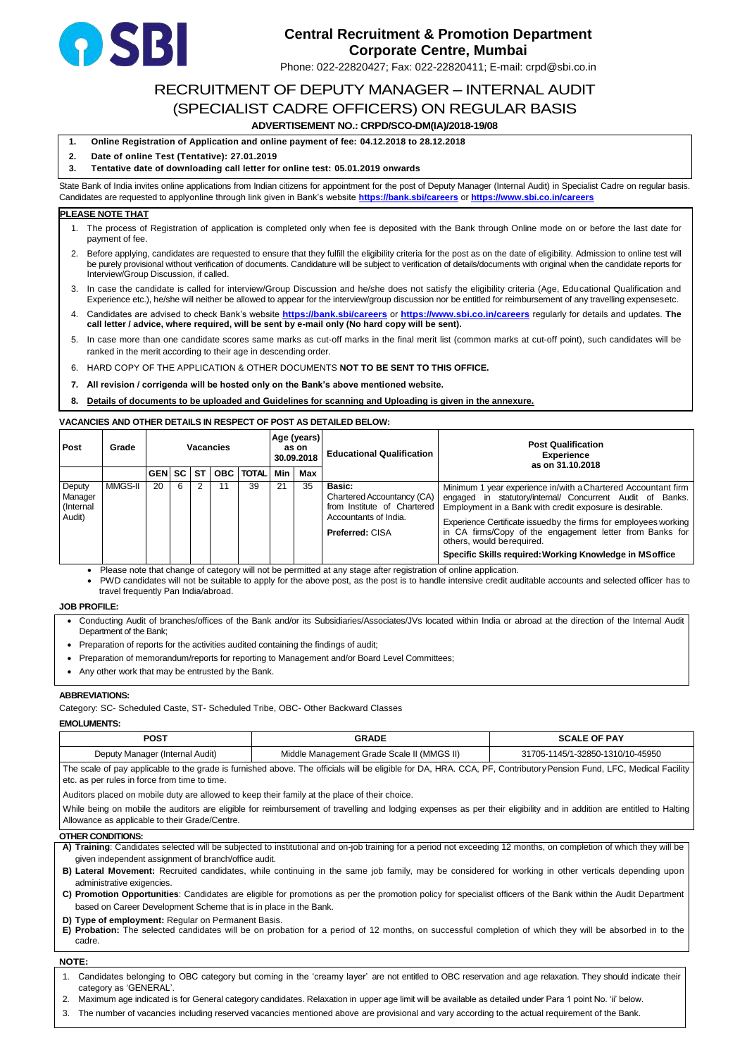# RECRUITMENT OF DEPUTY MANAGER – INTERNAL AUDIT (SPECIALIST CADRE OFFICERS) ON REGULAR BASIS

# **ADVERTISEMENT NO.: CRPD/SCO-DM(IA)/2018-19/08**

- **1. Online Registration of Application and online payment of fee: 04.12.2018 to 28.12.2018**
- **2. Date of online Test (Tentative): 27.01.2019**

## **3. Tentative date of downloading call letter for online test: 05.01.2019 onwards**

State Bank of India invites online applications from Indian citizens for appointment for the post of Deputy Manager (Internal Audit) in Specialist Cadre on regular basis. Candidates are requested to applyonline through link given in Bank's website **<https://bank.sbi/careers>** or **<https://www.sbi.co.in/careers>**

## **PLEASE NOTE THAT**

- 1. The process of Registration of application is completed only when fee is deposited with the Bank through Online mode on or before the last date for payment of fee.
- 2. Before applying, candidates are requested to ensure that they fulfill the eligibility criteria for the post as on the date of eligibility. Admission to online test will be purely provisional without verification of documents. Candidature will be subject to verification of details/documents with original when the candidate reports for Interview/Group Discussion, if called.
- 3. In case the candidate is called for interview/Group Discussion and he/she does not satisfy the eligibility criteria (Age, Educational Qualification and Experience etc.), he/she will neither be allowed to appear for the interview/group discussion nor be entitled for reimbursement of any travelling expensesetc.
- 4. Candidates are advised to check Bank's website **<https://bank.sbi/careers>** or **<https://www.sbi.co.in/careers>** regularly for details and updates. **The call letter / advice, where required, will be sent by e-mail only (No hard copy will be sent).**
- 5. In case more than one candidate scores same marks as cut-off marks in the final merit list (common marks at cut-off point), such candidates will be ranked in the merit according to their age in descending order.
- 6. HARD COPY OF THE APPLICATION & OTHER DOCUMENTS **NOT TO BE SENT TO THIS OFFICE.**
- **7. All revision / corrigenda will be hosted only on the Bank's above mentioned website.**
- **8. Details of documents to be uploaded and Guidelines for scanning and Uploading is given in the annexure.**

## **VACANCIES AND OTHER DETAILS IN RESPECT OF POST AS DETAILED BELOW:**

| <b>Post</b>                              | Grade   | <b>Vacancies</b> |   | Age (years)<br>as on<br>30.09.2018 |            | <b>Educational Qualification</b> | <b>Post Qualification</b><br><b>Experience</b><br>as on 31.10.2018 |     |                                                                                                                        |                                                                                                                                                                                                                                                                                                                                                                                                                |
|------------------------------------------|---------|------------------|---|------------------------------------|------------|----------------------------------|--------------------------------------------------------------------|-----|------------------------------------------------------------------------------------------------------------------------|----------------------------------------------------------------------------------------------------------------------------------------------------------------------------------------------------------------------------------------------------------------------------------------------------------------------------------------------------------------------------------------------------------------|
|                                          |         | <b>GEN SC</b>    |   | <b>ST</b>                          | <b>OBC</b> | TOTAL                            | Min                                                                | Max |                                                                                                                        |                                                                                                                                                                                                                                                                                                                                                                                                                |
| Deputy<br>Manager<br>(Internal<br>Audit) | MMGS-II | 20               | 6 |                                    | 11         | 39                               | 21                                                                 | 35  | Basic:<br>Chartered Accountancy (CA)<br>from Institute of Chartered<br>Accountants of India.<br><b>Preferred: CISA</b> | Minimum 1 year experience in/with a Chartered Accountant firm<br>engaged in statutory/internal/ Concurrent Audit of Banks.<br>Employment in a Bank with credit exposure is desirable.<br>Experience Certificate issuedby the firms for employees working<br>in CA firms/Copy of the engagement letter from Banks for<br>others, would be required.<br>Specific Skills required: Working Knowledge in MS office |

• Please note that change of category will not be permitted at any stage after registration of online application.

• PWD candidates will not be suitable to apply for the above post, as the post is to handle intensive credit auditable accounts and selected officer has to travel frequently Pan India/abroad.

## **JOB PROFILE:**

- Conducting Audit of branches/offices of the Bank and/or its Subsidiaries/Associates/JVs located within India or abroad at the direction of the Internal Audit Department of the Bank;
- Preparation of reports for the activities audited containing the findings of audit;
- Preparation of memorandum/reports for reporting to Management and/or Board Level Committees;
- Any other work that may be entrusted by the Bank.

## **ABBREVIATIONS:**

Category: SC- Scheduled Caste, ST- Scheduled Tribe, OBC- Other Backward Classes

## **EMOLUMENTS:**

| <b>POST</b>                     | <b>GRADE</b>                               | <b>SCALE OF PAY</b>              |
|---------------------------------|--------------------------------------------|----------------------------------|
| Deputy Manager (Internal Audit) | Middle Management Grade Scale II (MMGS II) | 31705-1145/1-32850-1310/10-45950 |

The scale of pay applicable to the grade is furnished above. The officials will be eligible for DA, HRA. CCA, PF, ContributoryPension Fund, LFC, Medical Facility etc. as per rules in force from time to time.

Auditors placed on mobile duty are allowed to keep their family at the place of their choice.

While being on mobile the auditors are eligible for reimbursement of travelling and lodging expenses as per their eligibility and in addition are entitled to Halting Allowance as applicable to their Grade/Centre.

## **OTHER CONDITIONS:**

- **A) Training**: Candidates selected will be subjected to institutional and on-job training for a period not exceeding 12 months, on completion of which they will be given independent assignment of branch/office audit.
- **B) Lateral Movement:** Recruited candidates, while continuing in the same job family, may be considered for working in other verticals depending upon administrative exigencies.
- **C) Promotion Opportunities**: Candidates are eligible for promotions as per the promotion policy for specialist officers of the Bank within the Audit Department based on Career Development Scheme that is in place in the Bank.
- **D) Type of employment:** Regular on Permanent Basis.
- **E) Probation:** The selected candidates will be on probation for a period of 12 months, on successful completion of which they will be absorbed in to the cadre.

## **NOTE:**

- 1. Candidates belonging to OBC category but coming in the 'creamy layer' are not entitled to OBC reservation and age relaxation. They should indicate their category as 'GENERAL'.
- 2. Maximum age indicated is for General category candidates. Relaxation in upper age limit will be available as detailed under Para 1 point No. 'ii' below.
- 3. The number of vacancies including reserved vacancies mentioned above are provisional and vary according to the actual requirement of the Bank.



# **Central Recruitment & Promotion Department Corporate Centre, Mumbai**

Phone: 022-22820427; Fax: 022-22820411; E-mail: crpd@sbi.co.in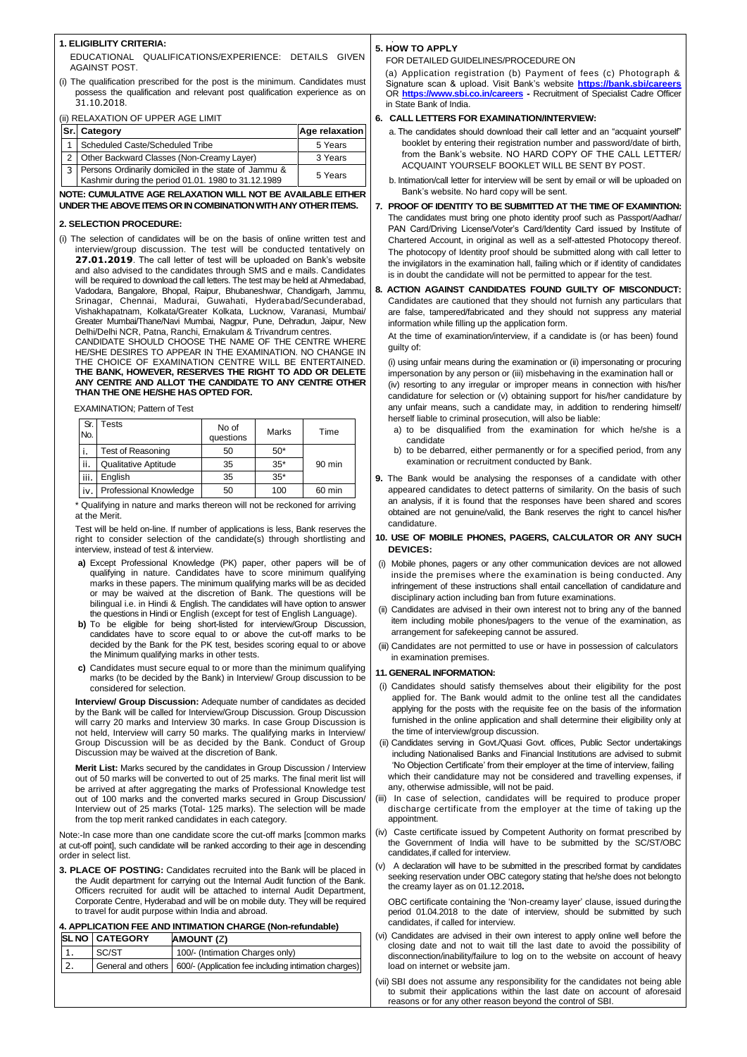## **1. ELIGIBLITY CRITERIA:**

EDUCATIONAL QUALIFICATIONS/EXPERIENCE: DETAILS GIVEN AGAINST POST.

(i) The qualification prescribed for the post is the minimum. Candidates must possess the qualification and relevant post qualification experience as on 31.10.2018.

(ii) RELAXATION OF UPPER AGE LIMIT

| Sr. Category                                                                                                | <b>Age relaxation</b> |
|-------------------------------------------------------------------------------------------------------------|-----------------------|
| Scheduled Caste/Scheduled Tribe                                                                             | 5 Years               |
| 2   Other Backward Classes (Non-Creamy Layer)                                                               | 3 Years               |
| Persons Ordinarily domiciled in the state of Jammu &<br>Kashmir during the period 01.01. 1980 to 31.12.1989 | 5 Years               |

## **NOTE: CUMULATIVE AGE RELAXATION WILL NOT BE AVAILABLE EITHER UNDER THE ABOVE ITEMS OR IN COMBINATION WITH ANY OTHER ITEMS.**

#### **2. SELECTION PROCEDURE:**

(i) The selection of candidates will be on the basis of online written test and interview/group discussion. The test will be conducted tentatively on **27.01.2019**. The call letter of test will be uploaded on Bank's website and also advised to the candidates through SMS and e mails. Candidates will be required to download the call letters. The test may be held at Ahmedabad, Vadodara, Bangalore, Bhopal, Raipur, Bhubaneshwar, Chandigarh, Jammu, Srinagar, Chennai, Madurai, Guwahati, Hyderabad/Secunderabad, Vishakhapatnam, Kolkata/Greater Kolkata, Lucknow, Varanasi, Mumbai/ Greater Mumbai/Thane/Navi Mumbai, Nagpur, Pune, Dehradun, Jaipur, New Delhi/Delhi NCR, Patna, Ranchi, Ernakulam & Trivandrum centres. CANDIDATE SHOULD CHOOSE THE NAME OF THE CENTRE WHERE HE/SHE DESIRES TO APPEAR IN THE EXAMINATION. NO CHANGE IN THE CHOICE OF EXAMINATION CENTRE WILL BE ENTERTAINED. **THE BANK, HOWEVER, RESERVES THE RIGHT TO ADD OR DELETE ANY CENTRE AND ALLOT THE CANDIDATE TO ANY CENTRE OTHER**

**THAN THE ONE HE/SHE HAS OPTED FOR.**

EXAMINATION; Pattern of Test

| Sr.<br>No. | Tests                  | No of<br>questions | Marks | Time     |
|------------|------------------------|--------------------|-------|----------|
|            | Test of Reasoning      | 50                 | $50*$ |          |
| ii.        | Qualitative Aptitude   | 35                 | $35*$ | $90$ min |
| iii.       | English                | 35                 | $35*$ |          |
| iv.        | Professional Knowledge | 50                 | 100   | 60 min   |

\* Qualifying in nature and marks thereon will not be reckoned for arriving at the Merit.

Test will be held on-line. If number of applications is less, Bank reserves the right to consider selection of the candidate(s) through shortlisting and interview, instead of test & interview.

- **a)** Except Professional Knowledge (PK) paper, other papers will be of qualifying in nature. Candidates have to score minimum qualifying marks in these papers. The minimum qualifying marks will be as decided or may be waived at the discretion of Bank. The questions will be bilingual i.e. in Hindi & English. The candidates will have option to answer the questions in Hindi or English (except for test of English Language).
- **b)** To be eligible for being short-listed for interview/Group Discussion, candidates have to score equal to or above the cut-off marks to be decided by the Bank for the PK test, besides scoring equal to or above the Minimum qualifying marks in other tests.
- **c)** Candidates must secure equal to or more than the minimum qualifying marks (to be decided by the Bank) in Interview/ Group discussion to be considered for selection.

**Interview/ Group Discussion:** Adequate number of candidates as decided by the Bank will be called for Interview/Group Discussion. Group Discussion will carry 20 marks and Interview 30 marks. In case Group Discussion is not held, Interview will carry 50 marks. The qualifying marks in Interview/ Group Discussion will be as decided by the Bank. Conduct of Group Discussion may be waived at the discretion of Bank.

**Merit List:** Marks secured by the candidates in Group Discussion / Interview out of 50 marks will be converted to out of 25 marks. The final merit list will be arrived at after aggregating the marks of Professional Knowledge test

out of 100 marks and the converted marks secured in Group Discussion/ Interview out of 25 marks (Total- 125 marks). The selection will be made from the top merit ranked candidates in each category.

Note:-In case more than one candidate score the cut-off marks [common marks at cut-off point], such candidate will be ranked according to their age in descending order in select list.

**3. PLACE OF POSTING:** Candidates recruited into the Bank will be placed in the Audit department for carrying out the Internal Audit function of the Bank. Officers recruited for audit will be attached to internal Audit Department, Corporate Centre, Hyderabad and will be on mobile duty. They will be required to travel for audit purpose within India and abroad.

#### **4. APPLICATION FEE AND INTIMATION CHARGE (Non-refundable)**

| 600/- (Application fee including intimation charges) |
|------------------------------------------------------|
|                                                      |

#### . **5. HOW TO APPLY**

### FOR DETAILED GUIDELINES/PROCEDURE ON

(a) Application registration (b) Payment of fees (c) Photograph & Signature scan & upload. Visit Bank's website **<https://bank.sbi/careers>** OR **<https://www.sbi.co.in/careers> -** Recruitment of Specialist Cadre Officer in State Bank of India.

#### **6. CALL LETTERS FOR EXAMINATION/INTERVIEW:**

- a. The candidates should download their call letter and an "acquaint yourself" booklet by entering their registration number and password/date of birth, from the Bank's website. NO HARD COPY OF THE CALL LETTER/ ACQUAINT YOURSELF BOOKLET WILL BE SENT BY POST.
- b. Intimation/call letter for interview will be sent by email or will be uploaded on Bank's website. No hard copy will be sent.
- **7. PROOF OF IDENTITY TO BE SUBMITTED AT THE TIME OF EXAMINTION:** The candidates must bring one photo identity proof such as Passport/Aadhar/ PAN Card/Driving License/Voter's Card/Identity Card issued by Institute of Chartered Account, in original as well as a self-attested Photocopy thereof. The photocopy of Identity proof should be submitted along with call letter to the invigilators in the examination hall, failing which or if identity of candidates is in doubt the candidate will not be permitted to appear for the test.
- **8. ACTION AGAINST CANDIDATES FOUND GUILTY OF MISCONDUCT:** Candidates are cautioned that they should not furnish any particulars that are false, tampered/fabricated and they should not suppress any material information while filling up the application form.

At the time of examination/interview, if a candidate is (or has been) found guilty of:

(i) using unfair means during the examination or (ii) impersonating or procuring impersonation by any person or (iii) misbehaving in the examination hall or (iv) resorting to any irregular or improper means in connection with his/her candidature for selection or (v) obtaining support for his/her candidature by any unfair means, such a candidate may, in addition to rendering himself/ herself liable to criminal prosecution, will also be liable:

- a) to be disqualified from the examination for which he/she is a candidate
- b) to be debarred, either permanently or for a specified period, from any examination or recruitment conducted by Bank.
- **9.** The Bank would be analysing the responses of a candidate with other appeared candidates to detect patterns of similarity. On the basis of such an analysis, if it is found that the responses have been shared and scores obtained are not genuine/valid, the Bank reserves the right to cancel his/her candidature.

## **10. USE OF MOBILE PHONES, PAGERS, CALCULATOR OR ANY SUCH DEVICES:**

- (i) Mobile phones, pagers or any other communication devices are not allowed inside the premises where the examination is being conducted. Any infringement of these instructions shall entail cancellation of candidature and disciplinary action including ban from future examinations.
- (ii) Candidates are advised in their own interest not to bring any of the banned item including mobile phones/pagers to the venue of the examination, as arrangement for safekeeping cannot be assured.
- (iii) Candidates are not permitted to use or have in possession of calculators in examination premises.

#### **11. GENERAL INFORMATION:**

- (i) Candidates should satisfy themselves about their eligibility for the post applied for. The Bank would admit to the online test all the candidates applying for the posts with the requisite fee on the basis of the information furnished in the online application and shall determine their eligibility only at the time of interview/group discussion.
- (ii) Candidates serving in Govt./Quasi Govt. offices, Public Sector undertakings including Nationalised Banks and Financial Institutions are advised to submit 'No Objection Certificate' from their employer at the time of interview, failing which their candidature may not be considered and travelling expenses, if any, otherwise admissible, will not be paid.

- (iii) In case of selection, candidates will be required to produce proper discharge certificate from the employer at the time of taking up the appointment.
- (iv) Caste certificate issued by Competent Authority on format prescribed by the Government of India will have to be submitted by the SC/ST/OBC candidates, if called for interview.
- (v) A declaration will have to be submitted in the prescribed format by candidates seeking reservation under OBC category stating that he/she does not belongto the creamy layer as on 01.12.2018**.**

OBC certificate containing the 'Non-creamy layer' clause, issued duringthe period 01.04.2018 to the date of interview, should be submitted by such candidates, if called for interview.

- (vi) Candidates are advised in their own interest to apply online well before the closing date and not to wait till the last date to avoid the possibility of disconnection/inability/failure to log on to the website on account of heavy load on internet or website jam.
- (vii) SBI does not assume any responsibility for the candidates not being able to submit their applications within the last date on account of aforesaid reasons or for any other reason beyond the control of SBI.